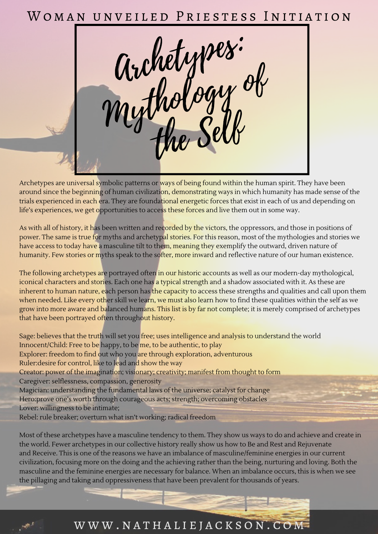# WOMAN UNVEILED PRIESTESS INITIATION



Archetypes are universal symbolic patterns or ways of being found within the human spirit. They have been around since the beginning of human civilization, demonstrating ways in which humanity has made sense of the trials experienced in each era. They are foundational energetic forces that exist in each of us and depending on life's experiences, we get opportunities to access these forces and live them out in some way.

As with all of history, it has been written and recorded by the victors, the oppressors, and those in positions of power. The same is true for myths and archetypal stories. For this reason, most of the mythologies and stories we have access to today have a masculine tilt to them, meaning they exemplify the outward, driven nature of humanity. Few stories or myths speak to the softer, more inward and reflective nature of our human existence.

The following archetypes are portrayed often in our historic accounts as well as our modern-day mythological, iconical characters and stories. Each one has a typical strength and a shadow associated with it. As these are inherent to human nature, each person has the capacity to access these strengths and qualities and call upon them when needed. Like every other skill we learn, we must also learn how to find these qualities within the self as we grow into more aware and balanced humans. This list is by far not complete; it is merely comprised of archetypes that have been portrayed often throughout history.

Sage: believes that the truth will set you free; uses intelligence and analysis to understand the world Innocent/Child: Free to be happy, to be me, to be authentic, to play Explorer: freedom to find out who you are through exploration, adventurous Ruler:desire for control, like to lead and show the way Creator: power of the imagination; visionary; creativity; manifest from thought to form Caregiver: selflessness, compassion, generosity Magician: understanding the fundamental laws of the universe; catalyst for change Hero:prove one's worth through courageous acts; strength; overcoming obstacles Lover: willingness to be intimate; Rebel: rule breaker; overturn what isn't working; radical freedom

Most of these archetypes have a masculine tendency to them. They show us ways to do and achieve and create in the world. Fewer archetypes in our collective history really show us how to Be and Rest and Rejuvenate and Receive. This is one of the reasons we have an imbalance of masculine/feminine energies in our current civilization, focusing more on the doing and the achieving rather than the being, nurturing and loving. Both the masculine and the feminine energies are necessary for balance. When an imbalance occurs, this is when we see the pillaging and taking and oppressiveness that have been prevalent for thousands of years.

WWW.NATHALIEJACKSON.COM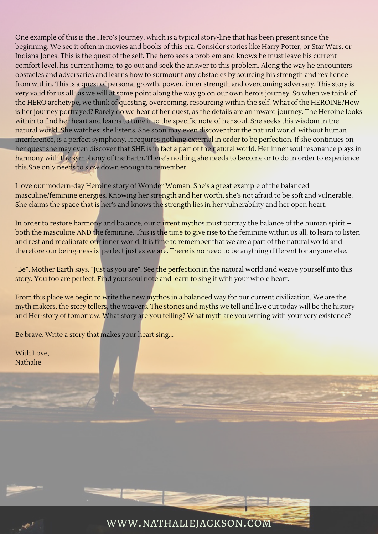One example of this is the Hero's Journey, which is a typical story-line that has been present since the beginning. We see it often in movies and books of this era. Consider stories like Harry Potter, or Star Wars, or Indiana Jones. This is the quest of the self. The hero sees a problem and knows he must leave his current comfort level, his current home, to go out and seek the answer to this problem. Along the way he encounters obstacles and adversaries and learns how to surmount any obstacles by sourcing his strength and resilience from within. This is a quest of personal growth, power, inner strength and overcoming adversary. This story is very valid for us all, as we will at some point along the way go on our own hero's journey. So when we think of the HERO archetype, we think of questing, overcoming, resourcing within the self. What of the HEROINE?How is her journey portrayed? Rarely do we hear of her quest, as the details are an inward journey. The Heroine looks within to find her heart and learns to tune into the specific note of her soul. She seeks this wisdom in the natural world. She watches; she listens. She soon may even discover that the natural world, without human interference, is a perfect symphony. It requires nothing external in order to be perfection. If she continues on her quest she may even discover that SHE is in fact a part of the natural world. Her inner soul resonance plays in harmony with the symphony of the Earth. There's nothing she needs to become or to do in order to experience this.She only needs to slow down enough to remember.

I love our modern-day Heroine story of Wonder Woman. She's a great example of the balanced masculine/feminine energies. Knowing her strength and her worth, she's not afraid to be soft and vulnerable. She claims the space that is her's and knows the strength lies in her vulnerability and her open heart.

In order to restore harmony and balance, our current mythos must portray the balance of the human spirit both the masculine AND the feminine. This is the time to give rise to the feminine within us all, to learn to listen and rest and recalibrate our inner world. It is time to remember that we are a part of the natural world and therefore our being-ness is perfect just as we are. There is no need to be anything different for anyone else.

"Be", Mother Earth says. "Just as you are". See the perfection in the natural world and weave yourself into this story. You too are perfect. Find your soul note and learn to sing it with your whole heart.

From this place we begin to write the new mythos in a balanced way for our current civilization. We are the myth makers, the story tellers, the weavers. The stories and myths we tell and live out today will be the history and Her-story of tomorrow. What story are you telling? What myth are you writing with your very existence?

Be brave. Write a story that makes your heart sing...

With Love, Nathalie

## www.nathaliejackson.com